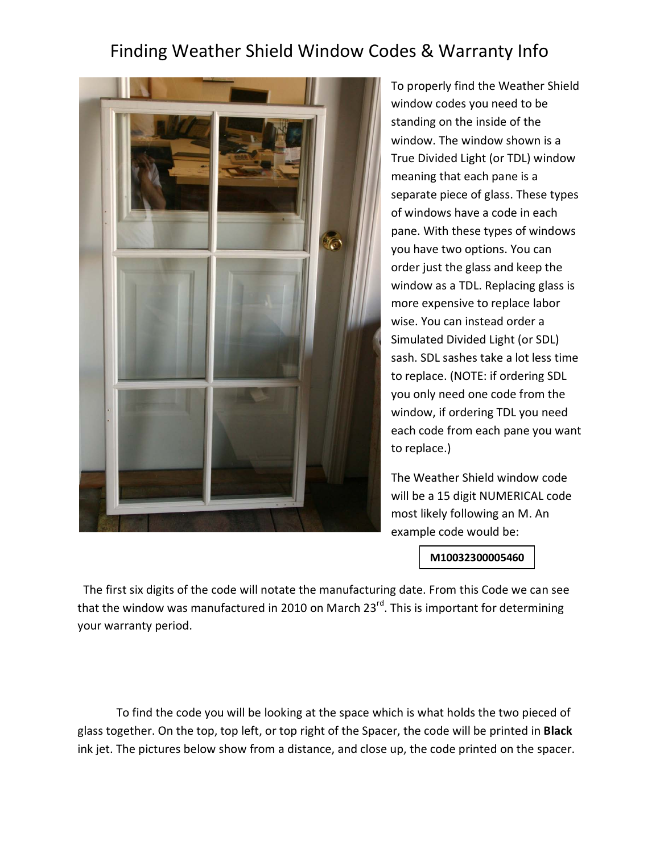## Finding Weather Shield Window Codes & Warranty Info



To properly find the Weather Shield window codes you need to be standing on the inside of the window. The window shown is a True Divided Light (or TDL) window meaning that each pane is a separate piece of glass. These types of windows have a code in each pane. With these types of windows you have two options. You can order just the glass and keep the window as a TDL. Replacing glass is more expensive to replace labor wise. You can instead order a Simulated Divided Light (or SDL) sash. SDL sashes take a lot less time to replace. (NOTE: if ordering SDL you only need one code from the window, if ordering TDL you need each code from each pane you want to replace.)

The Weather Shield window code will be a 15 digit NUMERICAL code most likely following an M. An example code would be:

**M10032300005460**

 The first six digits of the code will notate the manufacturing date. From this Code we can see that the window was manufactured in 2010 on March  $23<sup>rd</sup>$ . This is important for determining your warranty period.

To find the code you will be looking at the space which is what holds the two pieced of glass together. On the top, top left, or top right of the Spacer, the code will be printed in **Black** ink jet. The pictures below show from a distance, and close up, the code printed on the spacer.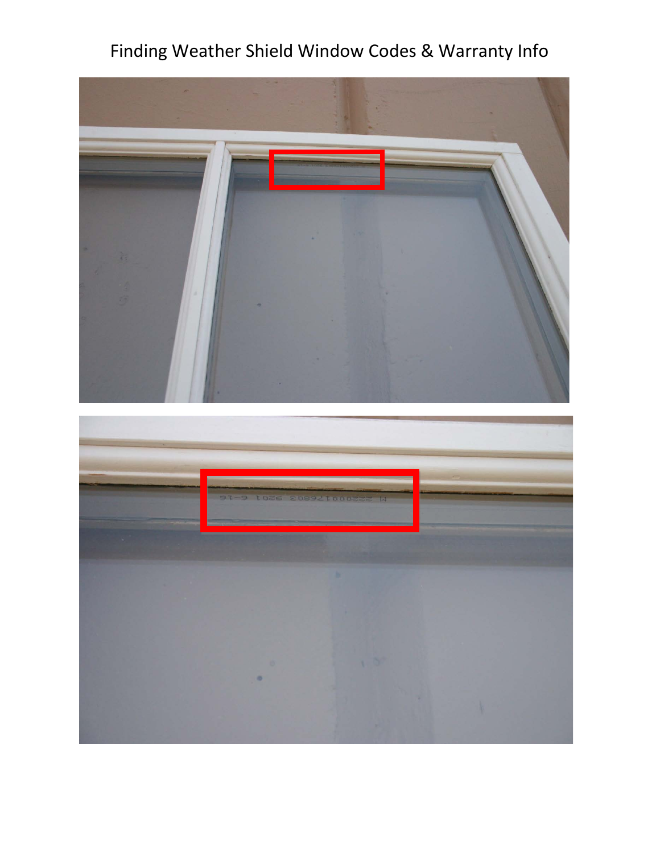## Finding Weather Shield Window Codes & Warranty Info